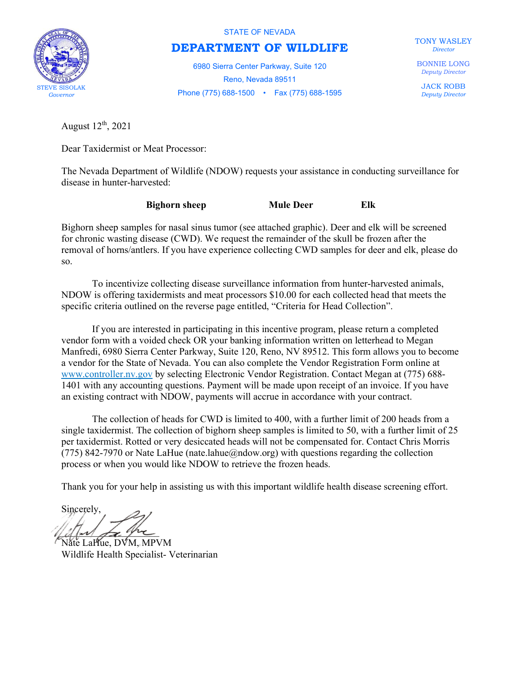

STATE OF NEVADA

## DEPARTMENT OF WILDLIFE

6980 Sierra Center Parkway, Suite 120 Reno, Nevada 89511 Phone (775) 688-1500 • Fax (775) 688-1595 STEVE SISOLAK TONY WASLEY **Director** 

BONNIE LONG Deputy Director

JACK ROBB Deputy Director

August  $12<sup>th</sup>$ , 2021

Dear Taxidermist or Meat Processor:

The Nevada Department of Wildlife (NDOW) requests your assistance in conducting surveillance for disease in hunter-harvested:

| <b>Bighorn sheep</b> | <b>Mule Deer</b> | Elk |
|----------------------|------------------|-----|
|                      |                  |     |

Bighorn sheep samples for nasal sinus tumor (see attached graphic). Deer and elk will be screened for chronic wasting disease (CWD). We request the remainder of the skull be frozen after the removal of horns/antlers. If you have experience collecting CWD samples for deer and elk, please do so.

 To incentivize collecting disease surveillance information from hunter-harvested animals, NDOW is offering taxidermists and meat processors \$10.00 for each collected head that meets the specific criteria outlined on the reverse page entitled, "Criteria for Head Collection".

 If you are interested in participating in this incentive program, please return a completed vendor form with a voided check OR your banking information written on letterhead to Megan Manfredi, 6980 Sierra Center Parkway, Suite 120, Reno, NV 89512. This form allows you to become a vendor for the State of Nevada. You can also complete the Vendor Registration Form online at www.controller.nv.gov by selecting Electronic Vendor Registration. Contact Megan at (775) 688- 1401 with any accounting questions. Payment will be made upon receipt of an invoice. If you have an existing contract with NDOW, payments will accrue in accordance with your contract.

 The collection of heads for CWD is limited to 400, with a further limit of 200 heads from a single taxidermist. The collection of bighorn sheep samples is limited to 50, with a further limit of 25 per taxidermist. Rotted or very desiccated heads will not be compensated for. Contact Chris Morris (775) 842-7970 or Nate LaHue (nate.lahue@ndow.org) with questions regarding the collection process or when you would like NDOW to retrieve the frozen heads.

Thank you for your help in assisting us with this important wildlife health disease screening effort.

Sincerely,  $d\mu$ 

Nate LaHue, DVM, MPVM Wildlife Health Specialist- Veterinarian